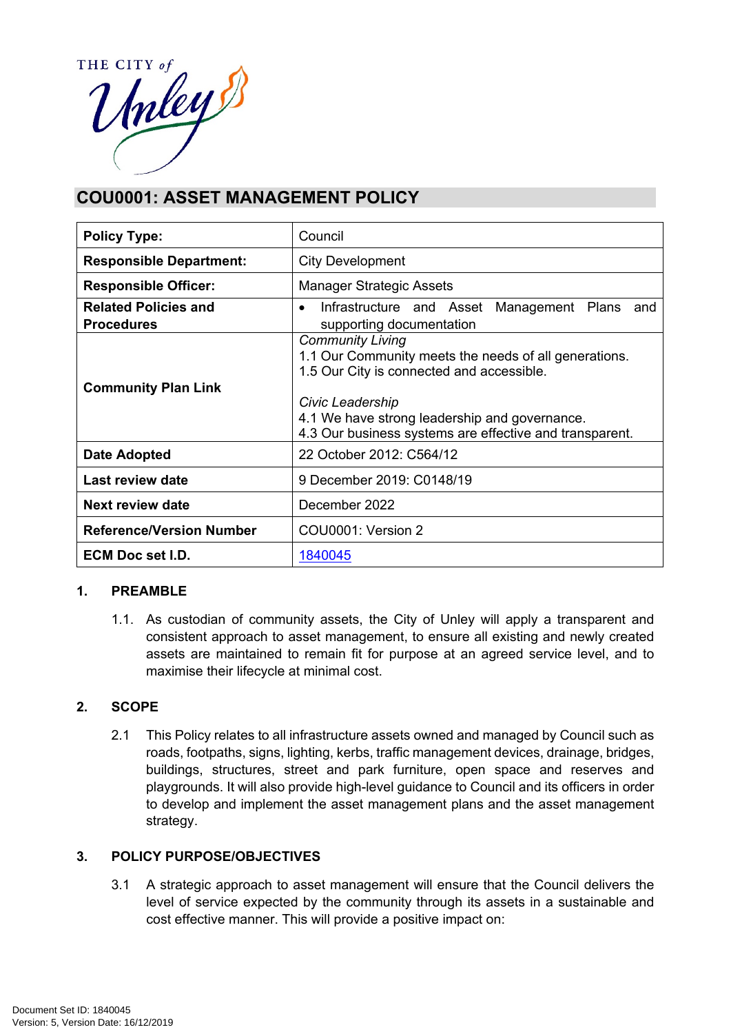

# **COU0001: ASSET MANAGEMENT POLICY**

| <b>Policy Type:</b>                              | Council                                                                                                                                                                                                                                                       |  |  |
|--------------------------------------------------|---------------------------------------------------------------------------------------------------------------------------------------------------------------------------------------------------------------------------------------------------------------|--|--|
| <b>Responsible Department:</b>                   | <b>City Development</b>                                                                                                                                                                                                                                       |  |  |
| <b>Responsible Officer:</b>                      | <b>Manager Strategic Assets</b>                                                                                                                                                                                                                               |  |  |
| <b>Related Policies and</b><br><b>Procedures</b> | Infrastructure and Asset Management Plans and<br>$\bullet$<br>supporting documentation                                                                                                                                                                        |  |  |
| <b>Community Plan Link</b>                       | <b>Community Living</b><br>1.1 Our Community meets the needs of all generations.<br>1.5 Our City is connected and accessible.<br>Civic Leadership<br>4.1 We have strong leadership and governance.<br>4.3 Our business systems are effective and transparent. |  |  |
| <b>Date Adopted</b>                              | 22 October 2012: C564/12                                                                                                                                                                                                                                      |  |  |
| Last review date                                 | 9 December 2019: C0148/19                                                                                                                                                                                                                                     |  |  |
| Next review date                                 | December 2022                                                                                                                                                                                                                                                 |  |  |
| <b>Reference/Version Number</b>                  | COU0001: Version 2                                                                                                                                                                                                                                            |  |  |
| <b>ECM Doc set I.D.</b>                          | 1840045                                                                                                                                                                                                                                                       |  |  |

## **1. PREAMBLE**

1.1. As custodian of community assets, the City of Unley will apply a transparent and consistent approach to asset management, to ensure all existing and newly created assets are maintained to remain fit for purpose at an agreed service level, and to maximise their lifecycle at minimal cost.

## **2. SCOPE**

2.1 This Policy relates to all infrastructure assets owned and managed by Council such as roads, footpaths, signs, lighting, kerbs, traffic management devices, drainage, bridges, buildings, structures, street and park furniture, open space and reserves and playgrounds. It will also provide high-level guidance to Council and its officers in order to develop and implement the asset management plans and the asset management strategy.

#### **3. POLICY PURPOSE/OBJECTIVES**

3.1 A strategic approach to asset management will ensure that the Council delivers the level of service expected by the community through its assets in a sustainable and cost effective manner. This will provide a positive impact on: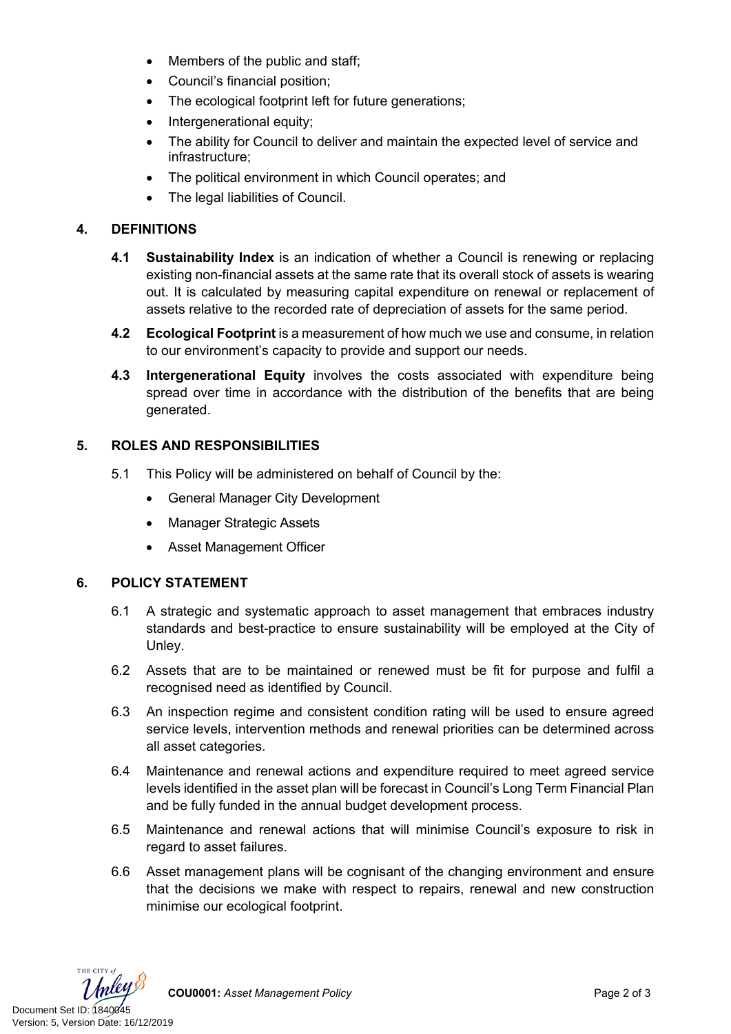- Members of the public and staff;
- Council's financial position;
- The ecological footprint left for future generations;
- Intergenerational equity;
- The ability for Council to deliver and maintain the expected level of service and infrastructure;
- The political environment in which Council operates; and
- The legal liabilities of Council.

## **4. DEFINITIONS**

- **4.1 Sustainability Index** is an indication of whether a Council is renewing or replacing existing non-financial assets at the same rate that its overall stock of assets is wearing out. It is calculated by measuring capital expenditure on renewal or replacement of assets relative to the recorded rate of depreciation of assets for the same period.
- **4.2 Ecological Footprint** is a measurement of how much we use and consume, in relation to our environment's capacity to provide and support our needs.
- **4.3 Intergenerational Equity** involves the costs associated with expenditure being spread over time in accordance with the distribution of the benefits that are being generated.

## **5. ROLES AND RESPONSIBILITIES**

- 5.1 This Policy will be administered on behalf of Council by the:
	- General Manager City Development
	- Manager Strategic Assets
	- Asset Management Officer

#### **6. POLICY STATEMENT**

- 6.1 A strategic and systematic approach to asset management that embraces industry standards and best-practice to ensure sustainability will be employed at the City of Unley.
- 6.2 Assets that are to be maintained or renewed must be fit for purpose and fulfil a recognised need as identified by Council.
- 6.3 An inspection regime and consistent condition rating will be used to ensure agreed service levels, intervention methods and renewal priorities can be determined across all asset categories.
- 6.4 Maintenance and renewal actions and expenditure required to meet agreed service levels identified in the asset plan will be forecast in Council's Long Term Financial Plan and be fully funded in the annual budget development process.
- 6.5 Maintenance and renewal actions that will minimise Council's exposure to risk in regard to asset failures.
- 6.6 Asset management plans will be cognisant of the changing environment and ensure that the decisions we make with respect to repairs, renewal and new construction minimise our ecological footprint.



**COU0001:** *Asset Management Policy* Page 2 of 3